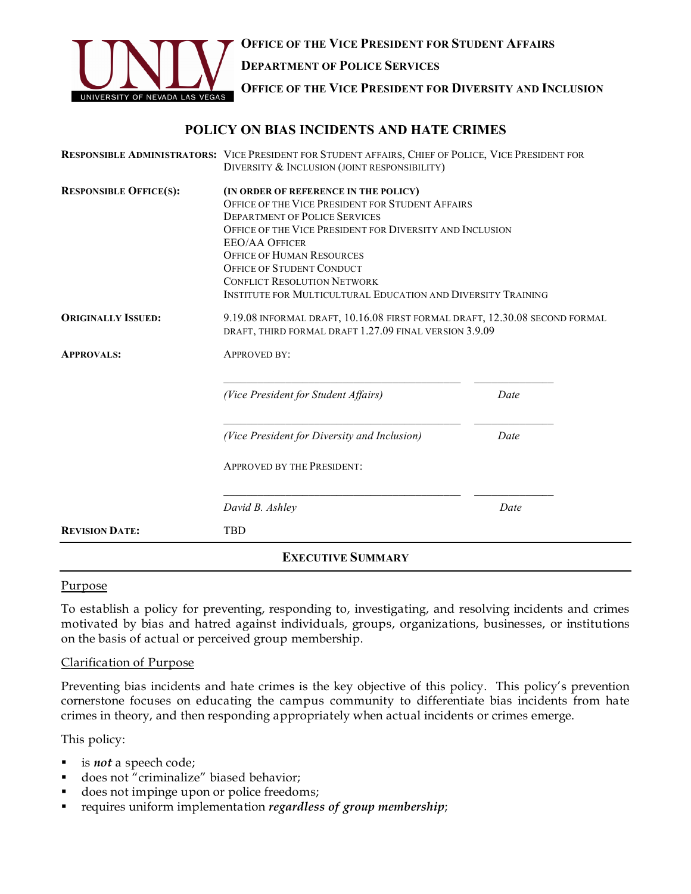

**OFFICE OF THE VICE PRESIDENT FOR STUDENT AFFAIRS DEPARTMENT OF POLICE SERVICES OFFICE OF THE VICE PRESIDENT FOR DIVERSITY AND INCLUSION**

## **POLICY ON BIAS INCIDENTS AND HATE CRIMES**

| <b>REVISION DATE:</b>         | <b>TBD</b>                                                                                                                                                                                                                                                             |      |
|-------------------------------|------------------------------------------------------------------------------------------------------------------------------------------------------------------------------------------------------------------------------------------------------------------------|------|
|                               | David B. Ashley                                                                                                                                                                                                                                                        | Date |
|                               | <b>APPROVED BY THE PRESIDENT:</b>                                                                                                                                                                                                                                      |      |
|                               | (Vice President for Diversity and Inclusion)                                                                                                                                                                                                                           | Date |
|                               | (Vice President for Student Affairs)                                                                                                                                                                                                                                   | Date |
| <b>APPROVALS:</b>             | <b>APPROVED BY:</b>                                                                                                                                                                                                                                                    |      |
| <b>ORIGINALLY ISSUED:</b>     | 9.19.08 INFORMAL DRAFT, 10.16.08 FIRST FORMAL DRAFT, 12.30.08 SECOND FORMAL<br>DRAFT, THIRD FORMAL DRAFT 1.27.09 FINAL VERSION 3.9.09                                                                                                                                  |      |
|                               | OFFICE OF THE VICE PRESIDENT FOR DIVERSITY AND INCLUSION<br><b>EEO/AA OFFICER</b><br><b>OFFICE OF HUMAN RESOURCES</b><br><b>OFFICE OF STUDENT CONDUCT</b><br><b>CONFLICT RESOLUTION NETWORK</b><br><b>INSTITUTE FOR MULTICULTURAL EDUCATION AND DIVERSITY TRAINING</b> |      |
| <b>RESPONSIBLE OFFICE(S):</b> | (IN ORDER OF REFERENCE IN THE POLICY)<br>OFFICE OF THE VICE PRESIDENT FOR STUDENT AFFAIRS<br><b>DEPARTMENT OF POLICE SERVICES</b>                                                                                                                                      |      |
|                               | RESPONSIBLE ADMINISTRATORS: VICE PRESIDENT FOR STUDENT AFFAIRS, CHIEF OF POLICE, VICE PRESIDENT FOR<br>DIVERSITY & INCLUSION (JOINT RESPONSIBILITY)                                                                                                                    |      |

#### Purpose

To establish a policy for preventing, responding to, investigating, and resolving incidents and crimes motivated by bias and hatred against individuals, groups, organizations, businesses, or institutions on the basis of actual or perceived group membership.

#### Clarification of Purpose

Preventing bias incidents and hate crimes is the key objective of this policy. This policy's prevention cornerstone focuses on educating the campus community to differentiate bias incidents from hate crimes in theory, and then responding appropriately when actual incidents or crimes emerge.

This policy:

- is *not* a speech code;
- does not "criminalize" biased behavior;
- does not impinge upon or police freedoms;
- ! requires uniform implementation *regardless of group membership*;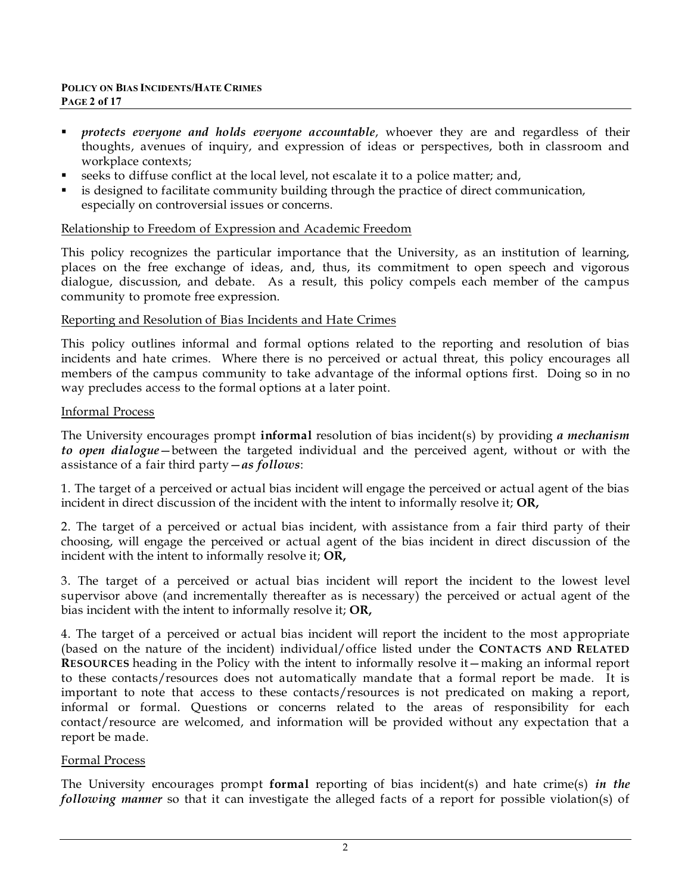- ! *protects everyone and holds everyone accountable*, whoever they are and regardless of their thoughts, avenues of inquiry, and expression of ideas or perspectives, both in classroom and workplace contexts;
- ! seeks to diffuse conflict at the local level, not escalate it to a police matter; and,
- is designed to facilitate community building through the practice of direct communication, especially on controversial issues or concerns.

#### Relationship to Freedom of Expression and Academic Freedom

This policy recognizes the particular importance that the University, as an institution of learning, places on the free exchange of ideas, and, thus, its commitment to open speech and vigorous dialogue, discussion, and debate. As a result, this policy compels each member of the campus community to promote free expression.

### Reporting and Resolution of Bias Incidents and Hate Crimes

This policy outlines informal and formal options related to the reporting and resolution of bias incidents and hate crimes. Where there is no perceived or actual threat, this policy encourages all members of the campus community to take advantage of the informal options first. Doing so in no way precludes access to the formal options at a later point.

#### Informal Process

The University encourages prompt **informal** resolution of bias incident(s) by providing *a mechanism to open dialogue*—between the targeted individual and the perceived agent, without or with the assistance of a fair third party—*as follows*:

1. The target of a perceived or actual bias incident will engage the perceived or actual agent of the bias incident in direct discussion of the incident with the intent to informally resolve it; **OR,**

2. The target of a perceived or actual bias incident, with assistance from a fair third party of their choosing, will engage the perceived or actual agent of the bias incident in direct discussion of the incident with the intent to informally resolve it; **OR,**

3. The target of a perceived or actual bias incident will report the incident to the lowest level supervisor above (and incrementally thereafter as is necessary) the perceived or actual agent of the bias incident with the intent to informally resolve it; **OR,**

4. The target of a perceived or actual bias incident will report the incident to the most appropriate (based on the nature of the incident) individual/office listed under the **CONTACTS AND RELATED RESOURCES** heading in the Policy with the intent to informally resolve it—making an informal report to these contacts/resources does not automatically mandate that a formal report be made. It is important to note that access to these contacts/resources is not predicated on making a report, informal or formal. Questions or concerns related to the areas of responsibility for each contact/resource are welcomed, and information will be provided without any expectation that a report be made.

#### Formal Process

The University encourages prompt **formal** reporting of bias incident(s) and hate crime(s) *in the following manner* so that it can investigate the alleged facts of a report for possible violation(s) of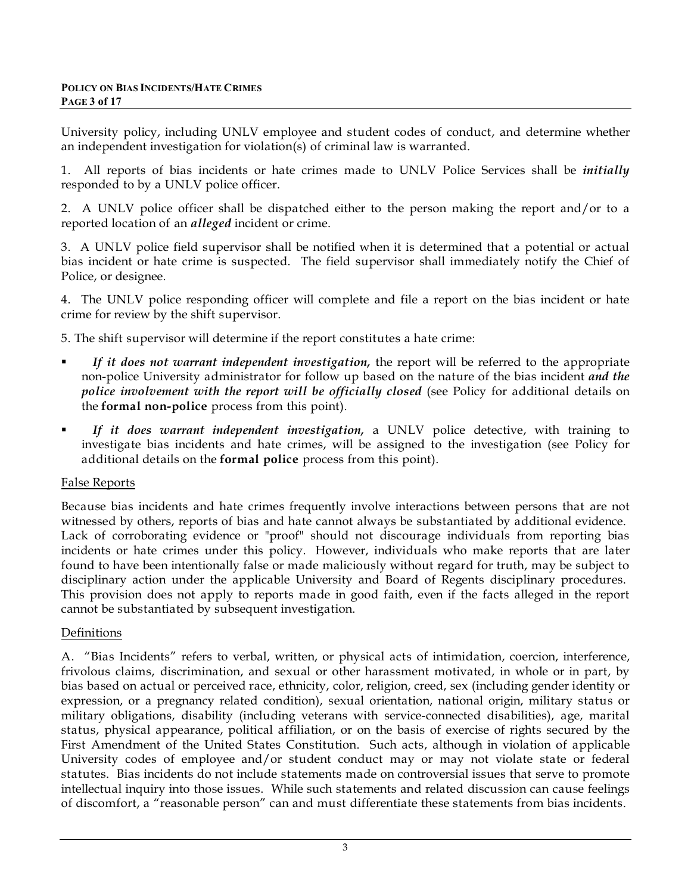University policy, including UNLV employee and student codes of conduct, and determine whether an independent investigation for violation(s) of criminal law is warranted.

1. All reports of bias incidents or hate crimes made to UNLV Police Services shall be *initially* responded to by a UNLV police officer.

2. A UNLV police officer shall be dispatched either to the person making the report and/or to a reported location of an *alleged* incident or crime.

3. A UNLV police field supervisor shall be notified when it is determined that a potential or actual bias incident or hate crime is suspected. The field supervisor shall immediately notify the Chief of Police, or designee.

4. The UNLV police responding officer will complete and file a report on the bias incident or hate crime for review by the shift supervisor.

5. The shift supervisor will determine if the report constitutes a hate crime:

- ! *If it does not warrant independent investigation,* the report will be referred to the appropriate non-police University administrator for follow up based on the nature of the bias incident *and the police involvement with the report will be officially closed* (see Policy for additional details on the **formal non-police** process from this point).
- ! *If it does warrant independent investigation,* a UNLV police detective, with training to investigate bias incidents and hate crimes, will be assigned to the investigation (see Policy for additional details on the **formal police** process from this point).

## False Reports

Because bias incidents and hate crimes frequently involve interactions between persons that are not witnessed by others, reports of bias and hate cannot always be substantiated by additional evidence. Lack of corroborating evidence or "proof" should not discourage individuals from reporting bias incidents or hate crimes under this policy. However, individuals who make reports that are later found to have been intentionally false or made maliciously without regard for truth, may be subject to disciplinary action under the applicable University and Board of Regents disciplinary procedures. This provision does not apply to reports made in good faith, even if the facts alleged in the report cannot be substantiated by subsequent investigation.

## Definitions

A. "Bias Incidents" refers to verbal, written, or physical acts of intimidation, coercion, interference, frivolous claims, discrimination, and sexual or other harassment motivated, in whole or in part, by bias based on actual or perceived race, ethnicity, color, religion, creed, sex (including gender identity or expression, or a pregnancy related condition), sexual orientation, national origin, military status or military obligations, disability (including veterans with service-connected disabilities), age, marital status, physical appearance, political affiliation, or on the basis of exercise of rights secured by the First Amendment of the United States Constitution. Such acts, although in violation of applicable University codes of employee and/or student conduct may or may not violate state or federal statutes. Bias incidents do not include statements made on controversial issues that serve to promote intellectual inquiry into those issues. While such statements and related discussion can cause feelings of discomfort, a "reasonable person" can and must differentiate these statements from bias incidents.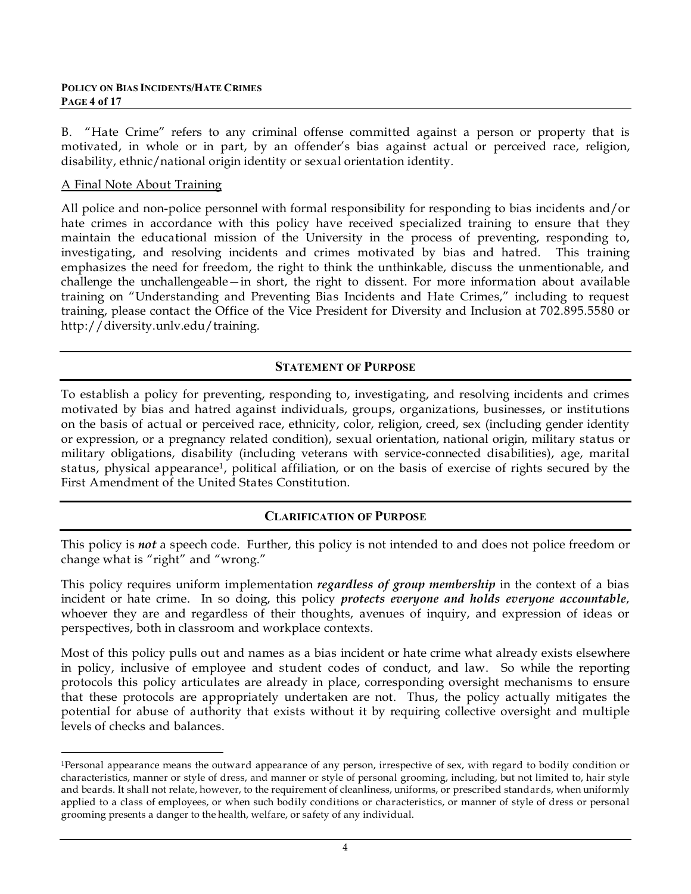#### **POLICY ON BIAS INCIDENTS/HATE CRIMES PAGE 4 of 17**

B. "Hate Crime" refers to any criminal offense committed against a person or property that is motivated, in whole or in part, by an offender's bias against actual or perceived race, religion, disability, ethnic/national origin identity or sexual orientation identity.

#### A Final Note About Training

1

All police and non-police personnel with formal responsibility for responding to bias incidents and/or hate crimes in accordance with this policy have received specialized training to ensure that they maintain the educational mission of the University in the process of preventing, responding to, investigating, and resolving incidents and crimes motivated by bias and hatred. This training emphasizes the need for freedom, the right to think the unthinkable, discuss the unmentionable, and challenge the unchallengeable—in short, the right to dissent. For more information about available training on "Understanding and Preventing Bias Incidents and Hate Crimes," including to request training, please contact the Office of the Vice President for Diversity and Inclusion at 702.895.5580 or http://diversity.unlv.edu/training.

### **STATEMENT OF PURPOSE**

To establish a policy for preventing, responding to, investigating, and resolving incidents and crimes motivated by bias and hatred against individuals, groups, organizations, businesses, or institutions on the basis of actual or perceived race, ethnicity, color, religion, creed, sex (including gender identity or expression, or a pregnancy related condition), sexual orientation, national origin, military status or military obligations, disability (including veterans with service-connected disabilities), age, marital status, physical appearance1, political affiliation, or on the basis of exercise of rights secured by the First Amendment of the United States Constitution.

## **CLARIFICATION OF PURPOSE**

This policy is *not* a speech code. Further, this policy is not intended to and does not police freedom or change what is "right" and "wrong."

This policy requires uniform implementation *regardless of group membership* in the context of a bias incident or hate crime. In so doing, this policy *protects everyone and holds everyone accountable*, whoever they are and regardless of their thoughts, avenues of inquiry, and expression of ideas or perspectives, both in classroom and workplace contexts.

Most of this policy pulls out and names as a bias incident or hate crime what already exists elsewhere in policy, inclusive of employee and student codes of conduct, and law. So while the reporting protocols this policy articulates are already in place, corresponding oversight mechanisms to ensure that these protocols are appropriately undertaken are not. Thus, the policy actually mitigates the potential for abuse of authority that exists without it by requiring collective oversight and multiple levels of checks and balances.

<sup>1</sup>Personal appearance means the outward appearance of any person, irrespective of sex, with regard to bodily condition or characteristics, manner or style of dress, and manner or style of personal grooming, including, but not limited to, hair style and beards. It shall not relate, however, to the requirement of cleanliness, uniforms, or prescribed standards, when uniformly applied to a class of employees, or when such bodily conditions or characteristics, or manner of style of dress or personal grooming presents a danger to the health, welfare, or safety of any individual.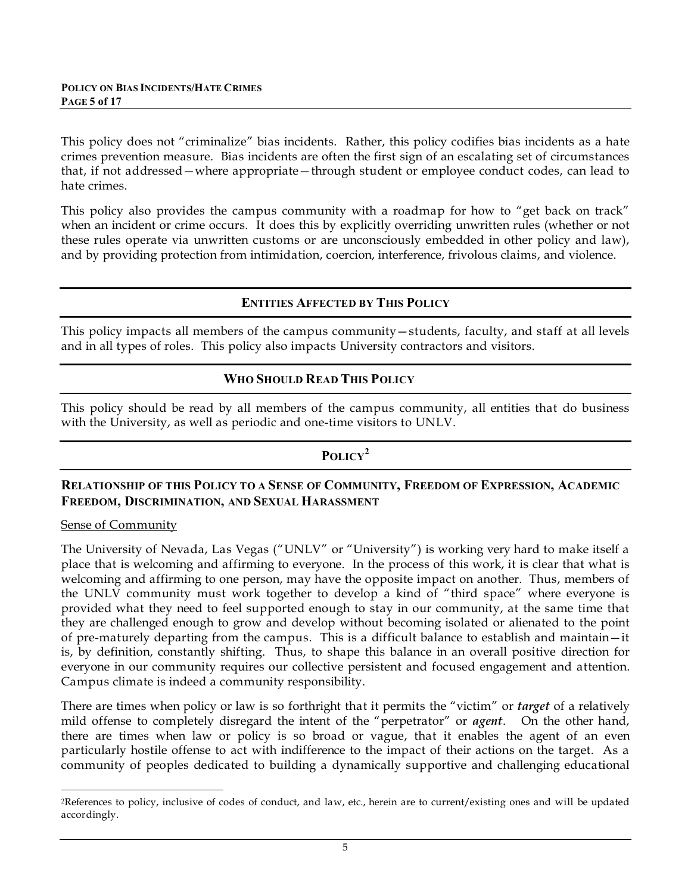This policy does not "criminalize" bias incidents. Rather, this policy codifies bias incidents as a hate crimes prevention measure. Bias incidents are often the first sign of an escalating set of circumstances that, if not addressed—where appropriate—through student or employee conduct codes, can lead to hate crimes.

This policy also provides the campus community with a roadmap for how to "get back on track" when an incident or crime occurs. It does this by explicitly overriding unwritten rules (whether or not these rules operate via unwritten customs or are unconsciously embedded in other policy and law), and by providing protection from intimidation, coercion, interference, frivolous claims, and violence.

### **ENTITIES AFFECTED BY THIS POLICY**

This policy impacts all members of the campus community—students, faculty, and staff at all levels and in all types of roles. This policy also impacts University contractors and visitors.

### **WHO SHOULD READ THIS POLICY**

This policy should be read by all members of the campus community, all entities that do business with the University, as well as periodic and one-time visitors to UNLV.

## **POLICY<sup>2</sup>**

### **RELATIONSHIP OF THIS POLICY TO A SENSE OF COMMUNITY, FREEDOM OF EXPRESSION, ACADEMIC FREEDOM, DISCRIMINATION, AND SEXUAL HARASSMENT**

#### Sense of Community

The University of Nevada, Las Vegas ("UNLV" or "University") is working very hard to make itself a place that is welcoming and affirming to everyone. In the process of this work, it is clear that what is welcoming and affirming to one person, may have the opposite impact on another. Thus, members of the UNLV community must work together to develop a kind of "third space" where everyone is provided what they need to feel supported enough to stay in our community, at the same time that they are challenged enough to grow and develop without becoming isolated or alienated to the point of pre-maturely departing from the campus. This is a difficult balance to establish and maintain—it is, by definition, constantly shifting. Thus, to shape this balance in an overall positive direction for everyone in our community requires our collective persistent and focused engagement and attention. Campus climate is indeed a community responsibility.

There are times when policy or law is so forthright that it permits the "victim" or *target* of a relatively mild offense to completely disregard the intent of the "perpetrator" or *agent*. On the other hand, there are times when law or policy is so broad or vague, that it enables the agent of an even particularly hostile offense to act with indifference to the impact of their actions on the target. As a community of peoples dedicated to building a dynamically supportive and challenging educational

<sup>&</sup>lt;u>.</u> 2References to policy, inclusive of codes of conduct, and law, etc., herein are to current/existing ones and will be updated accordingly.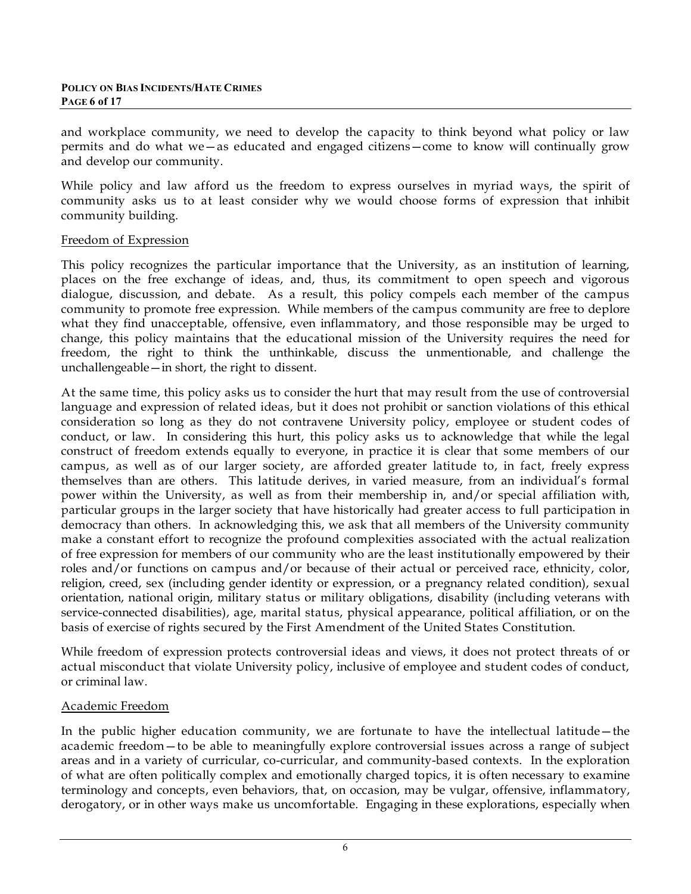#### **POLICY ON BIAS INCIDENTS/HATE CRIMES PAGE 6 of 17**

and workplace community, we need to develop the capacity to think beyond what policy or law permits and do what we—as educated and engaged citizens—come to know will continually grow and develop our community.

While policy and law afford us the freedom to express ourselves in myriad ways, the spirit of community asks us to at least consider why we would choose forms of expression that inhibit community building.

### Freedom of Expression

This policy recognizes the particular importance that the University, as an institution of learning, places on the free exchange of ideas, and, thus, its commitment to open speech and vigorous dialogue, discussion, and debate. As a result, this policy compels each member of the campus community to promote free expression. While members of the campus community are free to deplore what they find unacceptable, offensive, even inflammatory, and those responsible may be urged to change, this policy maintains that the educational mission of the University requires the need for freedom, the right to think the unthinkable, discuss the unmentionable, and challenge the unchallengeable—in short, the right to dissent.

At the same time, this policy asks us to consider the hurt that may result from the use of controversial language and expression of related ideas, but it does not prohibit or sanction violations of this ethical consideration so long as they do not contravene University policy, employee or student codes of conduct, or law. In considering this hurt, this policy asks us to acknowledge that while the legal construct of freedom extends equally to everyone, in practice it is clear that some members of our campus, as well as of our larger society, are afforded greater latitude to, in fact, freely express themselves than are others. This latitude derives, in varied measure, from an individual's formal power within the University, as well as from their membership in, and/or special affiliation with, particular groups in the larger society that have historically had greater access to full participation in democracy than others. In acknowledging this, we ask that all members of the University community make a constant effort to recognize the profound complexities associated with the actual realization of free expression for members of our community who are the least institutionally empowered by their roles and/or functions on campus and/or because of their actual or perceived race, ethnicity, color, religion, creed, sex (including gender identity or expression, or a pregnancy related condition), sexual orientation, national origin, military status or military obligations, disability (including veterans with service-connected disabilities), age, marital status, physical appearance, political affiliation, or on the basis of exercise of rights secured by the First Amendment of the United States Constitution.

While freedom of expression protects controversial ideas and views, it does not protect threats of or actual misconduct that violate University policy, inclusive of employee and student codes of conduct, or criminal law.

## Academic Freedom

In the public higher education community, we are fortunate to have the intellectual latitude—the academic freedom—to be able to meaningfully explore controversial issues across a range of subject areas and in a variety of curricular, co-curricular, and community-based contexts. In the exploration of what are often politically complex and emotionally charged topics, it is often necessary to examine terminology and concepts, even behaviors, that, on occasion, may be vulgar, offensive, inflammatory, derogatory, or in other ways make us uncomfortable. Engaging in these explorations, especially when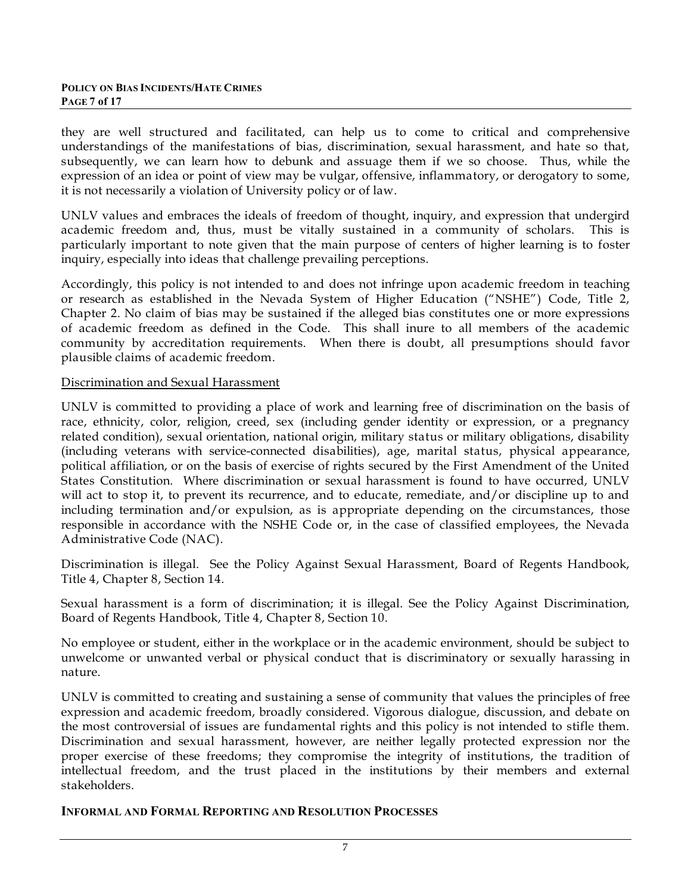they are well structured and facilitated, can help us to come to critical and comprehensive understandings of the manifestations of bias, discrimination, sexual harassment, and hate so that, subsequently, we can learn how to debunk and assuage them if we so choose. Thus, while the expression of an idea or point of view may be vulgar, offensive, inflammatory, or derogatory to some, it is not necessarily a violation of University policy or of law.

UNLV values and embraces the ideals of freedom of thought, inquiry, and expression that undergird academic freedom and, thus, must be vitally sustained in a community of scholars. This is particularly important to note given that the main purpose of centers of higher learning is to foster inquiry, especially into ideas that challenge prevailing perceptions.

Accordingly, this policy is not intended to and does not infringe upon academic freedom in teaching or research as established in the Nevada System of Higher Education ("NSHE") Code, Title 2, Chapter 2. No claim of bias may be sustained if the alleged bias constitutes one or more expressions of academic freedom as defined in the Code. This shall inure to all members of the academic community by accreditation requirements. When there is doubt, all presumptions should favor plausible claims of academic freedom.

### Discrimination and Sexual Harassment

UNLV is committed to providing a place of work and learning free of discrimination on the basis of race, ethnicity, color, religion, creed, sex (including gender identity or expression, or a pregnancy related condition), sexual orientation, national origin, military status or military obligations, disability (including veterans with service-connected disabilities), age, marital status, physical appearance, political affiliation, or on the basis of exercise of rights secured by the First Amendment of the United States Constitution. Where discrimination or sexual harassment is found to have occurred, UNLV will act to stop it, to prevent its recurrence, and to educate, remediate, and/or discipline up to and including termination and/or expulsion, as is appropriate depending on the circumstances, those responsible in accordance with the NSHE Code or, in the case of classified employees, the Nevada Administrative Code (NAC).

Discrimination is illegal. See the Policy Against Sexual Harassment, Board of Regents Handbook, Title 4, Chapter 8, Section 14.

Sexual harassment is a form of discrimination; it is illegal. See the Policy Against Discrimination, Board of Regents Handbook, Title 4, Chapter 8, Section 10.

No employee or student, either in the workplace or in the academic environment, should be subject to unwelcome or unwanted verbal or physical conduct that is discriminatory or sexually harassing in nature.

UNLV is committed to creating and sustaining a sense of community that values the principles of free expression and academic freedom, broadly considered. Vigorous dialogue, discussion, and debate on the most controversial of issues are fundamental rights and this policy is not intended to stifle them. Discrimination and sexual harassment, however, are neither legally protected expression nor the proper exercise of these freedoms; they compromise the integrity of institutions, the tradition of intellectual freedom, and the trust placed in the institutions by their members and external stakeholders.

#### **INFORMAL AND FORMAL REPORTING AND RESOLUTION PROCESSES**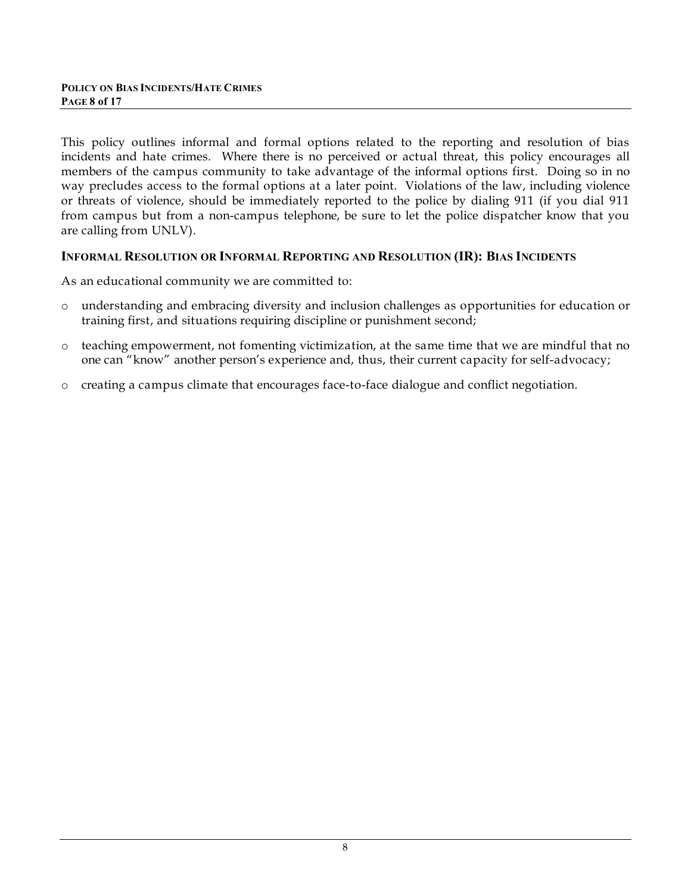This policy outlines informal and formal options related to the reporting and resolution of bias incidents and hate crimes. Where there is no perceived or actual threat, this policy encourages all members of the campus community to take advantage of the informal options first. Doing so in no way precludes access to the formal options at a later point. Violations of the law, including violence or threats of violence, should be immediately reported to the police by dialing 911 (if you dial 911 from campus but from a non-campus telephone, be sure to let the police dispatcher know that you are calling from UNLV).

### **INFORMAL RESOLUTION OR INFORMAL REPORTING AND RESOLUTION (IR): BIAS INCIDENTS**

As an educational community we are committed to:

- o understanding and embracing diversity and inclusion challenges as opportunities for education or training first, and situations requiring discipline or punishment second;
- o teaching empowerment, not fomenting victimization, at the same time that we are mindful that no one can "know" another person's experience and, thus, their current capacity for self-advocacy;
- o creating a campus climate that encourages face-to-face dialogue and conflict negotiation.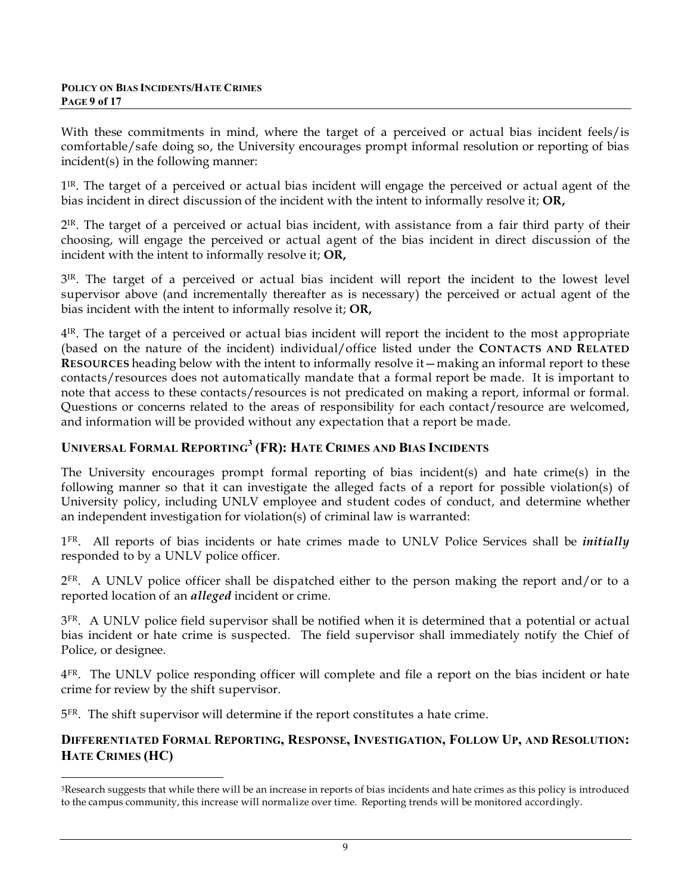With these commitments in mind, where the target of a perceived or actual bias incident feels/is comfortable/safe doing so, the University encourages prompt informal resolution or reporting of bias incident(s) in the following manner:

1<sup>IR</sup>. The target of a perceived or actual bias incident will engage the perceived or actual agent of the bias incident in direct discussion of the incident with the intent to informally resolve it; **OR,**

2IR. The target of a perceived or actual bias incident, with assistance from a fair third party of their choosing, will engage the perceived or actual agent of the bias incident in direct discussion of the incident with the intent to informally resolve it; **OR,**

3IR. The target of a perceived or actual bias incident will report the incident to the lowest level supervisor above (and incrementally thereafter as is necessary) the perceived or actual agent of the bias incident with the intent to informally resolve it; **OR,**

4IR. The target of a perceived or actual bias incident will report the incident to the most appropriate (based on the nature of the incident) individual/office listed under the **CONTACTS AND RELATED RESOURCES** heading below with the intent to informally resolve it—making an informal report to these contacts/resources does not automatically mandate that a formal report be made. It is important to note that access to these contacts/resources is not predicated on making a report, informal or formal. Questions or concerns related to the areas of responsibility for each contact/resource are welcomed, and information will be provided without any expectation that a report be made.

## **UNIVERSAL FORMAL REPORTING<sup>3</sup> (FR): HATE CRIMES AND BIAS INCIDENTS**

The University encourages prompt formal reporting of bias incident(s) and hate crime(s) in the following manner so that it can investigate the alleged facts of a report for possible violation(s) of University policy, including UNLV employee and student codes of conduct, and determine whether an independent investigation for violation(s) of criminal law is warranted:

1FR. All reports of bias incidents or hate crimes made to UNLV Police Services shall be *initially* responded to by a UNLV police officer.

 $2^{FR}$ . A UNLV police officer shall be dispatched either to the person making the report and/or to a reported location of an *alleged* incident or crime.

3<sup>FR</sup>. A UNLV police field supervisor shall be notified when it is determined that a potential or actual bias incident or hate crime is suspected. The field supervisor shall immediately notify the Chief of Police, or designee.

 $4<sup>FR</sup>$ . The UNLV police responding officer will complete and file a report on the bias incident or hate crime for review by the shift supervisor.

5FR. The shift supervisor will determine if the report constitutes a hate crime.

## **DIFFERENTIATED FORMAL REPORTING, RESPONSE, INVESTIGATION, FOLLOW UP, AND RESOLUTION: HATE CRIMES (HC)**

<sup>1</sup> 3Research suggests that while there will be an increase in reports of bias incidents and hate crimes as this policy is introduced to the campus community, this increase will normalize over time. Reporting trends will be monitored accordingly.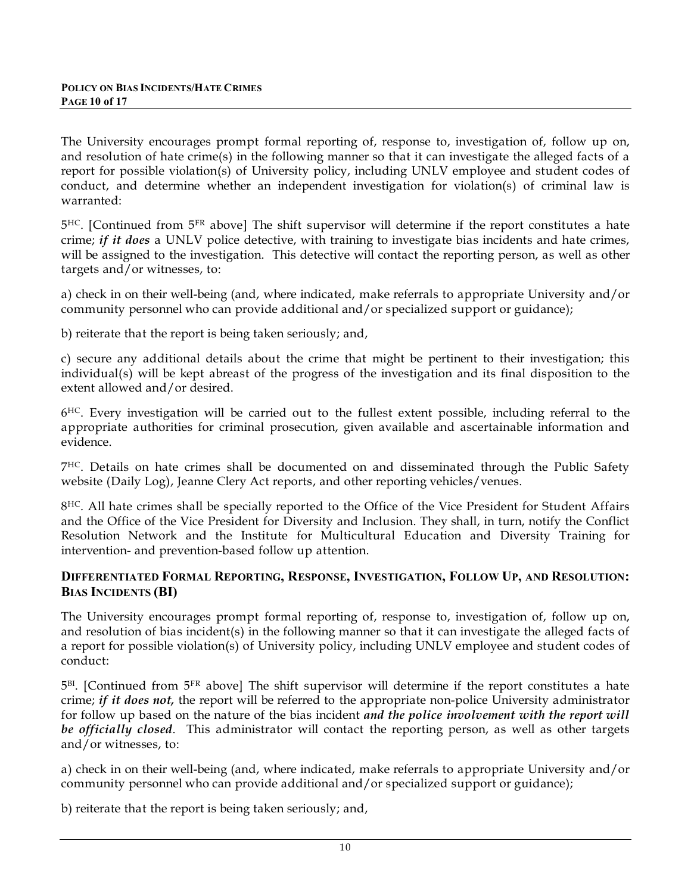The University encourages prompt formal reporting of, response to, investigation of, follow up on, and resolution of hate crime(s) in the following manner so that it can investigate the alleged facts of a report for possible violation(s) of University policy, including UNLV employee and student codes of conduct, and determine whether an independent investigation for violation(s) of criminal law is warranted:

5HC. [Continued from 5FR above] The shift supervisor will determine if the report constitutes a hate crime; *if it does* a UNLV police detective, with training to investigate bias incidents and hate crimes, will be assigned to the investigation. This detective will contact the reporting person, as well as other targets and/or witnesses, to:

a) check in on their well-being (and, where indicated, make referrals to appropriate University and/or community personnel who can provide additional and/or specialized support or guidance);

b) reiterate that the report is being taken seriously; and,

c) secure any additional details about the crime that might be pertinent to their investigation; this individual(s) will be kept abreast of the progress of the investigation and its final disposition to the extent allowed and/or desired.

 $6<sup>HC</sup>$ . Every investigation will be carried out to the fullest extent possible, including referral to the appropriate authorities for criminal prosecution, given available and ascertainable information and evidence.

7HC. Details on hate crimes shall be documented on and disseminated through the Public Safety website (Daily Log), Jeanne Clery Act reports, and other reporting vehicles/venues.

8<sup>HC</sup>. All hate crimes shall be specially reported to the Office of the Vice President for Student Affairs and the Office of the Vice President for Diversity and Inclusion. They shall, in turn, notify the Conflict Resolution Network and the Institute for Multicultural Education and Diversity Training for intervention- and prevention-based follow up attention.

## **DIFFERENTIATED FORMAL REPORTING, RESPONSE, INVESTIGATION, FOLLOW UP, AND RESOLUTION: BIAS INCIDENTS (BI)**

The University encourages prompt formal reporting of, response to, investigation of, follow up on, and resolution of bias incident(s) in the following manner so that it can investigate the alleged facts of a report for possible violation(s) of University policy, including UNLV employee and student codes of conduct:

 $5<sup>BI</sup>$ . [Continued from  $5<sup>FR</sup>$  above] The shift supervisor will determine if the report constitutes a hate crime; *if it does not,* the report will be referred to the appropriate non-police University administrator for follow up based on the nature of the bias incident *and the police involvement with the report will be officially closed*. This administrator will contact the reporting person, as well as other targets and/or witnesses, to:

a) check in on their well-being (and, where indicated, make referrals to appropriate University and/or community personnel who can provide additional and/or specialized support or guidance);

b) reiterate that the report is being taken seriously; and,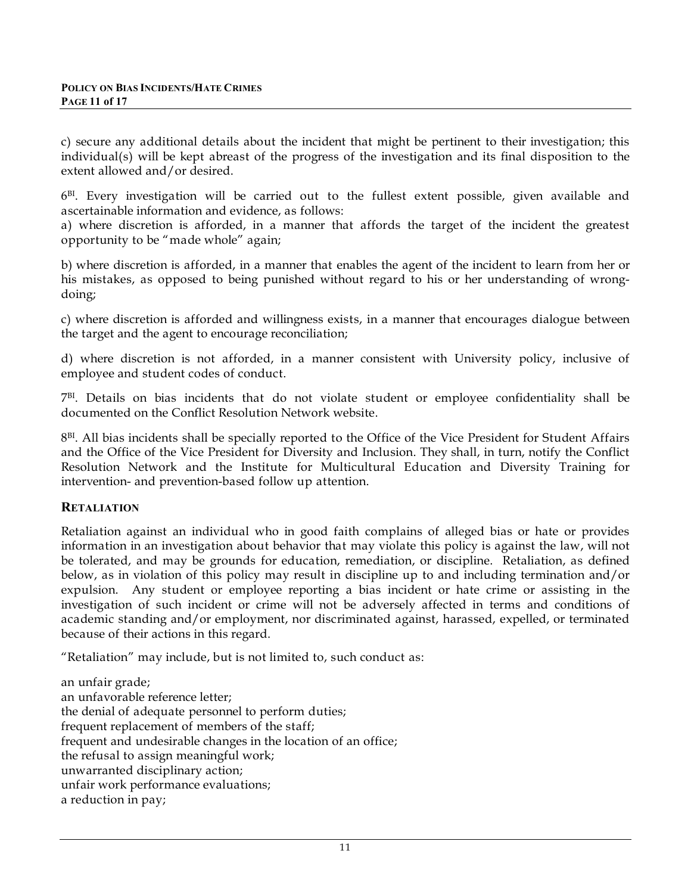c) secure any additional details about the incident that might be pertinent to their investigation; this individual(s) will be kept abreast of the progress of the investigation and its final disposition to the extent allowed and/or desired.

 $6<sup>BI</sup>$ . Every investigation will be carried out to the fullest extent possible, given available and ascertainable information and evidence, as follows:

a) where discretion is afforded, in a manner that affords the target of the incident the greatest opportunity to be "made whole" again;

b) where discretion is afforded, in a manner that enables the agent of the incident to learn from her or his mistakes, as opposed to being punished without regard to his or her understanding of wrongdoing;

c) where discretion is afforded and willingness exists, in a manner that encourages dialogue between the target and the agent to encourage reconciliation;

d) where discretion is not afforded, in a manner consistent with University policy, inclusive of employee and student codes of conduct.

7BI . Details on bias incidents that do not violate student or employee confidentiality shall be documented on the Conflict Resolution Network website.

8<sup>BI</sup>. All bias incidents shall be specially reported to the Office of the Vice President for Student Affairs and the Office of the Vice President for Diversity and Inclusion. They shall, in turn, notify the Conflict Resolution Network and the Institute for Multicultural Education and Diversity Training for intervention- and prevention-based follow up attention.

## **RETALIATION**

Retaliation against an individual who in good faith complains of alleged bias or hate or provides information in an investigation about behavior that may violate this policy is against the law, will not be tolerated, and may be grounds for education, remediation, or discipline. Retaliation, as defined below, as in violation of this policy may result in discipline up to and including termination and/or expulsion. Any student or employee reporting a bias incident or hate crime or assisting in the investigation of such incident or crime will not be adversely affected in terms and conditions of academic standing and/or employment, nor discriminated against, harassed, expelled, or terminated because of their actions in this regard.

"Retaliation" may include, but is not limited to, such conduct as:

an unfair grade; an unfavorable reference letter; the denial of adequate personnel to perform duties; frequent replacement of members of the staff; frequent and undesirable changes in the location of an office; the refusal to assign meaningful work; unwarranted disciplinary action; unfair work performance evaluations; a reduction in pay;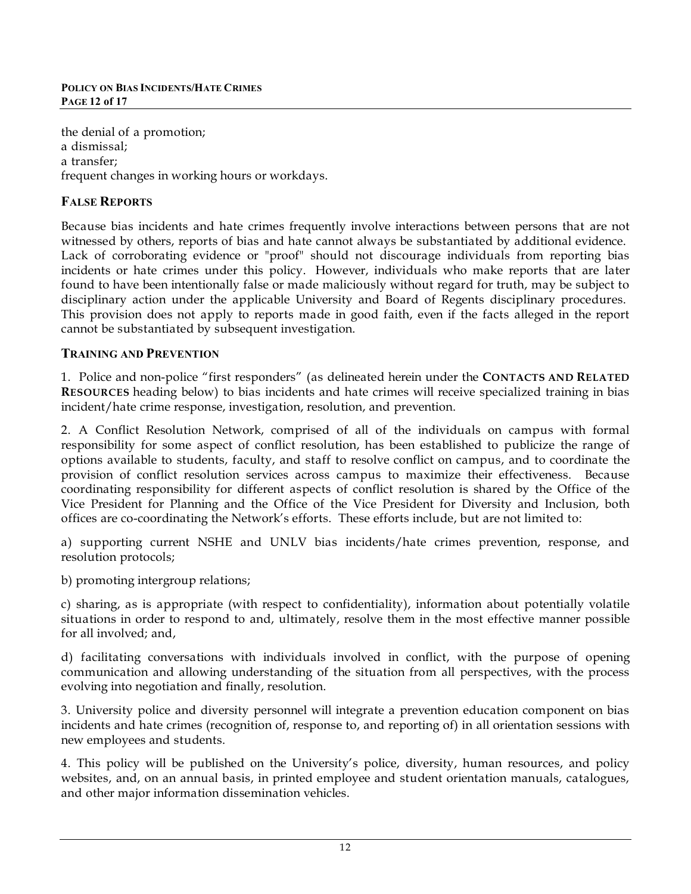the denial of a promotion; a dismissal; a transfer; frequent changes in working hours or workdays.

# **FALSE REPORTS**

Because bias incidents and hate crimes frequently involve interactions between persons that are not witnessed by others, reports of bias and hate cannot always be substantiated by additional evidence. Lack of corroborating evidence or "proof" should not discourage individuals from reporting bias incidents or hate crimes under this policy. However, individuals who make reports that are later found to have been intentionally false or made maliciously without regard for truth, may be subject to disciplinary action under the applicable University and Board of Regents disciplinary procedures. This provision does not apply to reports made in good faith, even if the facts alleged in the report cannot be substantiated by subsequent investigation.

## **TRAINING AND PREVENTION**

1. Police and non-police "first responders" (as delineated herein under the **CONTACTS AND RELATED RESOURCES** heading below) to bias incidents and hate crimes will receive specialized training in bias incident/hate crime response, investigation, resolution, and prevention.

2. A Conflict Resolution Network, comprised of all of the individuals on campus with formal responsibility for some aspect of conflict resolution, has been established to publicize the range of options available to students, faculty, and staff to resolve conflict on campus, and to coordinate the provision of conflict resolution services across campus to maximize their effectiveness. Because coordinating responsibility for different aspects of conflict resolution is shared by the Office of the Vice President for Planning and the Office of the Vice President for Diversity and Inclusion, both offices are co-coordinating the Network's efforts. These efforts include, but are not limited to:

a) supporting current NSHE and UNLV bias incidents/hate crimes prevention, response, and resolution protocols;

b) promoting intergroup relations;

c) sharing, as is appropriate (with respect to confidentiality), information about potentially volatile situations in order to respond to and, ultimately, resolve them in the most effective manner possible for all involved; and,

d) facilitating conversations with individuals involved in conflict, with the purpose of opening communication and allowing understanding of the situation from all perspectives, with the process evolving into negotiation and finally, resolution.

3. University police and diversity personnel will integrate a prevention education component on bias incidents and hate crimes (recognition of, response to, and reporting of) in all orientation sessions with new employees and students.

4. This policy will be published on the University's police, diversity, human resources, and policy websites, and, on an annual basis, in printed employee and student orientation manuals, catalogues, and other major information dissemination vehicles.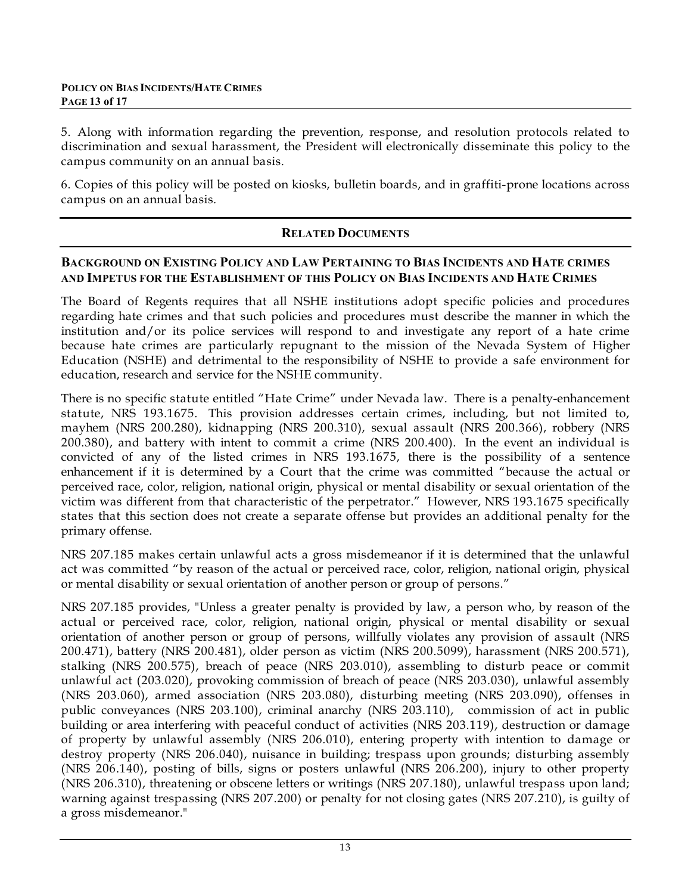5. Along with information regarding the prevention, response, and resolution protocols related to discrimination and sexual harassment, the President will electronically disseminate this policy to the campus community on an annual basis.

6. Copies of this policy will be posted on kiosks, bulletin boards, and in graffiti-prone locations across campus on an annual basis.

## **RELATED DOCUMENTS**

#### **BACKGROUND ON EXISTING POLICY AND LAW PERTAINING TO BIAS INCIDENTS AND HATE CRIMES AND IMPETUS FOR THE ESTABLISHMENT OF THIS POLICY ON BIAS INCIDENTS AND HATE CRIMES**

The Board of Regents requires that all NSHE institutions adopt specific policies and procedures regarding hate crimes and that such policies and procedures must describe the manner in which the institution and/or its police services will respond to and investigate any report of a hate crime because hate crimes are particularly repugnant to the mission of the Nevada System of Higher Education (NSHE) and detrimental to the responsibility of NSHE to provide a safe environment for education, research and service for the NSHE community.

There is no specific statute entitled "Hate Crime" under Nevada law. There is a penalty-enhancement statute, NRS 193.1675. This provision addresses certain crimes, including, but not limited to, mayhem (NRS 200.280), kidnapping (NRS 200.310), sexual assault (NRS 200.366), robbery (NRS 200.380), and battery with intent to commit a crime (NRS 200.400). In the event an individual is convicted of any of the listed crimes in NRS 193.1675, there is the possibility of a sentence enhancement if it is determined by a Court that the crime was committed "because the actual or perceived race, color, religion, national origin, physical or mental disability or sexual orientation of the victim was different from that characteristic of the perpetrator." However, NRS 193.1675 specifically states that this section does not create a separate offense but provides an additional penalty for the primary offense.

NRS 207.185 makes certain unlawful acts a gross misdemeanor if it is determined that the unlawful act was committed "by reason of the actual or perceived race, color, religion, national origin, physical or mental disability or sexual orientation of another person or group of persons."

NRS 207.185 provides, "Unless a greater penalty is provided by law, a person who, by reason of the actual or perceived race, color, religion, national origin, physical or mental disability or sexual orientation of another person or group of persons, willfully violates any provision of assault (NRS 200.471), battery (NRS 200.481), older person as victim (NRS 200.5099), harassment (NRS 200.571), stalking (NRS 200.575), breach of peace (NRS 203.010), assembling to disturb peace or commit unlawful act (203.020), provoking commission of breach of peace (NRS 203.030), unlawful assembly (NRS 203.060), armed association (NRS 203.080), disturbing meeting (NRS 203.090), offenses in public conveyances (NRS 203.100), criminal anarchy (NRS 203.110), commission of act in public building or area interfering with peaceful conduct of activities (NRS 203.119), destruction or damage of property by unlawful assembly (NRS 206.010), entering property with intention to damage or destroy property (NRS 206.040), nuisance in building; trespass upon grounds; disturbing assembly (NRS 206.140), posting of bills, signs or posters unlawful (NRS 206.200), injury to other property (NRS 206.310), threatening or obscene letters or writings (NRS 207.180), unlawful trespass upon land; warning against trespassing (NRS 207.200) or penalty for not closing gates (NRS 207.210), is guilty of a gross misdemeanor."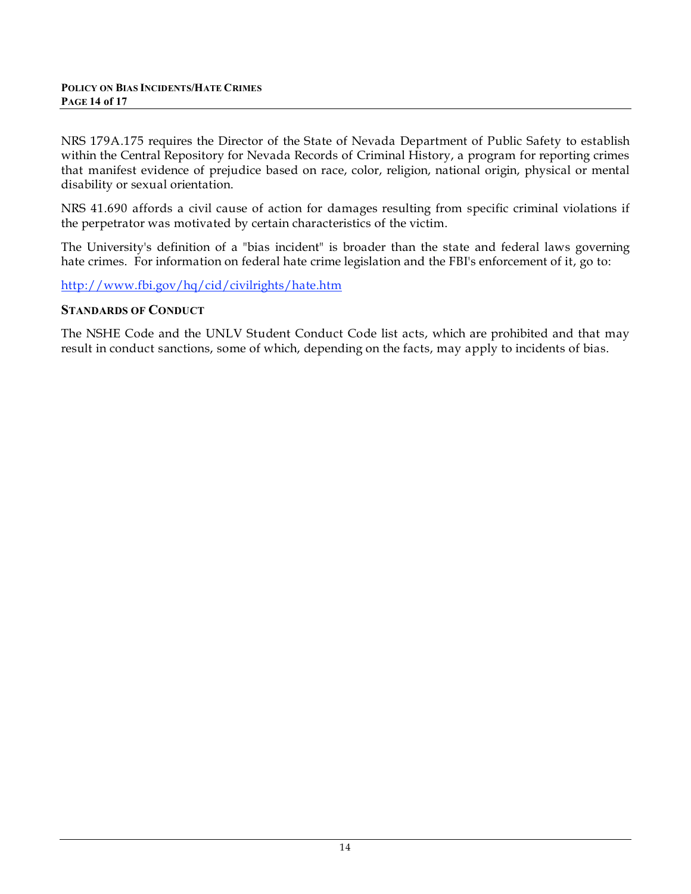NRS 179A.175 requires the Director of the State of Nevada Department of Public Safety to establish within the Central Repository for Nevada Records of Criminal History, a program for reporting crimes that manifest evidence of prejudice based on race, color, religion, national origin, physical or mental disability or sexual orientation.

NRS 41.690 affords a civil cause of action for damages resulting from specific criminal violations if the perpetrator was motivated by certain characteristics of the victim.

The University's definition of a "bias incident" is broader than the state and federal laws governing hate crimes. For information on federal hate crime legislation and the FBI's enforcement of it, go to:

http://www.fbi.gov/hq/cid/civilrights/hate.htm

#### **STANDARDS OF CONDUCT**

The NSHE Code and the UNLV Student Conduct Code list acts, which are prohibited and that may result in conduct sanctions, some of which, depending on the facts, may apply to incidents of bias.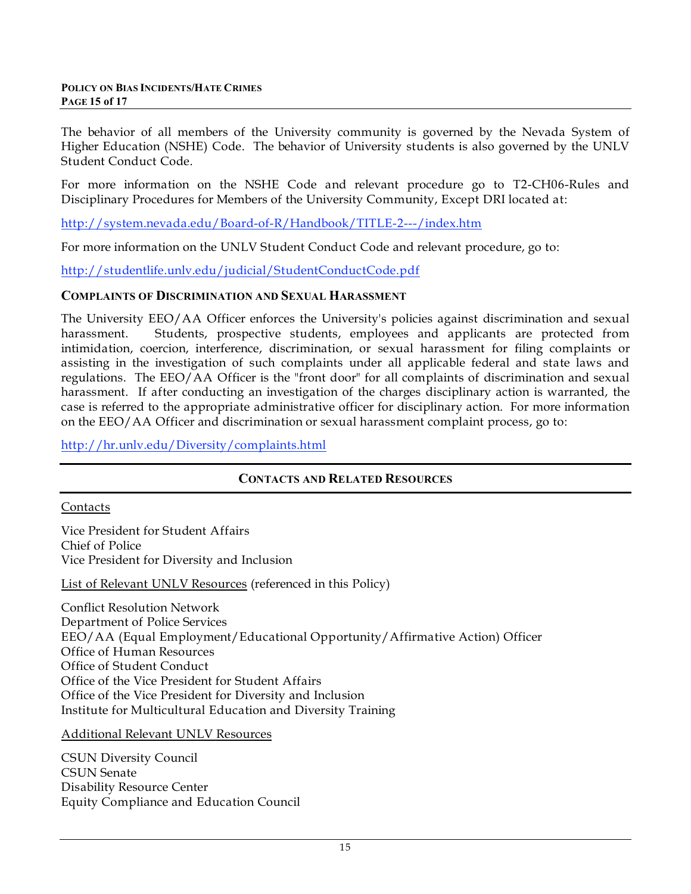The behavior of all members of the University community is governed by the Nevada System of Higher Education (NSHE) Code. The behavior of University students is also governed by the UNLV Student Conduct Code.

For more information on the NSHE Code and relevant procedure go to T2-CH06-Rules and Disciplinary Procedures for Members of the University Community, Except DRI located at:

http://system.nevada.edu/Board-of-R/Handbook/TITLE-2---/index.htm

For more information on the UNLV Student Conduct Code and relevant procedure, go to:

http://studentlife.unlv.edu/judicial/StudentConductCode.pdf

#### **COMPLAINTS OF DISCRIMINATION AND SEXUAL HARASSMENT**

The University EEO/AA Officer enforces the University's policies against discrimination and sexual harassment. Students, prospective students, employees and applicants are protected from intimidation, coercion, interference, discrimination, or sexual harassment for filing complaints or assisting in the investigation of such complaints under all applicable federal and state laws and regulations. The EEO/AA Officer is the "front door" for all complaints of discrimination and sexual harassment. If after conducting an investigation of the charges disciplinary action is warranted, the case is referred to the appropriate administrative officer for disciplinary action. For more information on the EEO/AA Officer and discrimination or sexual harassment complaint process, go to:

http://hr.unlv.edu/Diversity/complaints.html

#### **CONTACTS AND RELATED RESOURCES**

#### Contacts

Vice President for Student Affairs Chief of Police Vice President for Diversity and Inclusion

List of Relevant UNLV Resources (referenced in this Policy)

Conflict Resolution Network Department of Police Services EEO/AA (Equal Employment/Educational Opportunity/Affirmative Action) Officer Office of Human Resources Office of Student Conduct Office of the Vice President for Student Affairs Office of the Vice President for Diversity and Inclusion Institute for Multicultural Education and Diversity Training

Additional Relevant UNLV Resources

CSUN Diversity Council CSUN Senate Disability Resource Center Equity Compliance and Education Council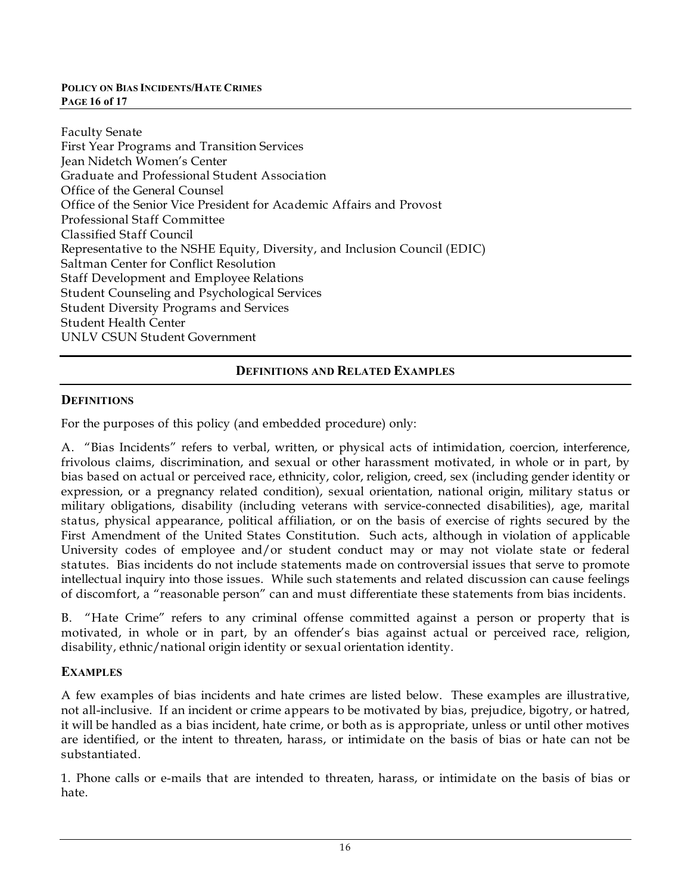#### **POLICY ON BIAS INCIDENTS/HATE CRIMES PAGE 16 of 17**

| <b>Faculty Senate</b>                                                      |  |  |
|----------------------------------------------------------------------------|--|--|
| First Year Programs and Transition Services                                |  |  |
| Jean Nidetch Women's Center                                                |  |  |
| Graduate and Professional Student Association                              |  |  |
| Office of the General Counsel                                              |  |  |
| Office of the Senior Vice President for Academic Affairs and Provost       |  |  |
| <b>Professional Staff Committee</b>                                        |  |  |
| Classified Staff Council                                                   |  |  |
| Representative to the NSHE Equity, Diversity, and Inclusion Council (EDIC) |  |  |
| Saltman Center for Conflict Resolution                                     |  |  |
| Staff Development and Employee Relations                                   |  |  |
| <b>Student Counseling and Psychological Services</b>                       |  |  |
| <b>Student Diversity Programs and Services</b>                             |  |  |
| <b>Student Health Center</b>                                               |  |  |
| UNLV CSUN Student Government                                               |  |  |
|                                                                            |  |  |

## **DEFINITIONS AND RELATED EXAMPLES**

### **DEFINITIONS**

For the purposes of this policy (and embedded procedure) only:

A. "Bias Incidents" refers to verbal, written, or physical acts of intimidation, coercion, interference, frivolous claims, discrimination, and sexual or other harassment motivated, in whole or in part, by bias based on actual or perceived race, ethnicity, color, religion, creed, sex (including gender identity or expression, or a pregnancy related condition), sexual orientation, national origin, military status or military obligations, disability (including veterans with service-connected disabilities), age, marital status, physical appearance, political affiliation, or on the basis of exercise of rights secured by the First Amendment of the United States Constitution. Such acts, although in violation of applicable University codes of employee and/or student conduct may or may not violate state or federal statutes. Bias incidents do not include statements made on controversial issues that serve to promote intellectual inquiry into those issues. While such statements and related discussion can cause feelings of discomfort, a "reasonable person" can and must differentiate these statements from bias incidents.

B. "Hate Crime" refers to any criminal offense committed against a person or property that is motivated, in whole or in part, by an offender's bias against actual or perceived race, religion, disability, ethnic/national origin identity or sexual orientation identity.

#### **EXAMPLES**

A few examples of bias incidents and hate crimes are listed below. These examples are illustrative, not all-inclusive. If an incident or crime appears to be motivated by bias, prejudice, bigotry, or hatred, it will be handled as a bias incident, hate crime, or both as is appropriate, unless or until other motives are identified, or the intent to threaten, harass, or intimidate on the basis of bias or hate can not be substantiated.

1. Phone calls or e-mails that are intended to threaten, harass, or intimidate on the basis of bias or hate.